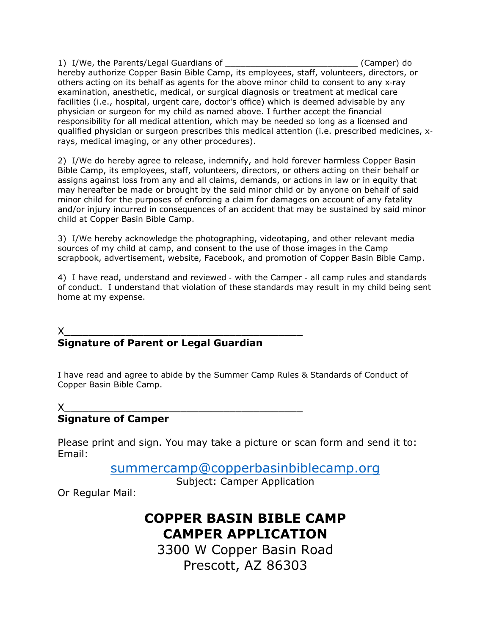1) I/We, the Parents/Legal Guardians of \_\_\_\_\_\_\_\_\_\_\_\_\_\_\_\_\_\_\_\_\_\_\_\_\_\_ (Camper) do hereby authorize Copper Basin Bible Camp, its employees, staff, volunteers, directors, or others acting on its behalf as agents for the above minor child to consent to any x‐ray examination, anesthetic, medical, or surgical diagnosis or treatment at medical care facilities (i.e., hospital, urgent care, doctor's office) which is deemed advisable by any physician or surgeon for my child as named above. I further accept the financial responsibility for all medical attention, which may be needed so long as a licensed and qualified physician or surgeon prescribes this medical attention (i.e. prescribed medicines, x‐ rays, medical imaging, or any other procedures).

2) I/We do hereby agree to release, indemnify, and hold forever harmless Copper Basin Bible Camp, its employees, staff, volunteers, directors, or others acting on their behalf or assigns against loss from any and all claims, demands, or actions in law or in equity that may hereafter be made or brought by the said minor child or by anyone on behalf of said minor child for the purposes of enforcing a claim for damages on account of any fatality and/or injury incurred in consequences of an accident that may be sustained by said minor child at Copper Basin Bible Camp.

3) I/We hereby acknowledge the photographing, videotaping, and other relevant media sources of my child at camp, and consent to the use of those images in the Camp scrapbook, advertisement, website, Facebook, and promotion of Copper Basin Bible Camp.

4) I have read, understand and reviewed - with the Camper - all camp rules and standards of conduct. I understand that violation of these standards may result in my child being sent home at my expense.

## X\_\_\_\_\_\_\_\_\_\_\_\_\_\_\_\_\_\_\_\_\_\_\_\_\_\_\_\_\_\_\_\_\_\_\_\_\_\_\_ **Signature of Parent or Legal Guardian**

I have read and agree to abide by the Summer Camp Rules & Standards of Conduct of Copper Basin Bible Camp.

## X\_\_\_\_\_\_\_\_\_\_\_\_\_\_\_\_\_\_\_\_\_\_\_\_\_\_\_\_\_\_\_\_\_\_\_\_\_\_\_ **Signature of Camper**

Please print and sign. You may take a picture or scan form and send it to: Email:

[summercamp@copperbasinbiblecamp.org](mailto:summercamp@copperbasinbiblecamp.org)

Subject: Camper Application

Or Regular Mail:

## **COPPER BASIN BIBLE CAMP CAMPER APPLICATION**

3300 W Copper Basin Road Prescott, AZ 86303